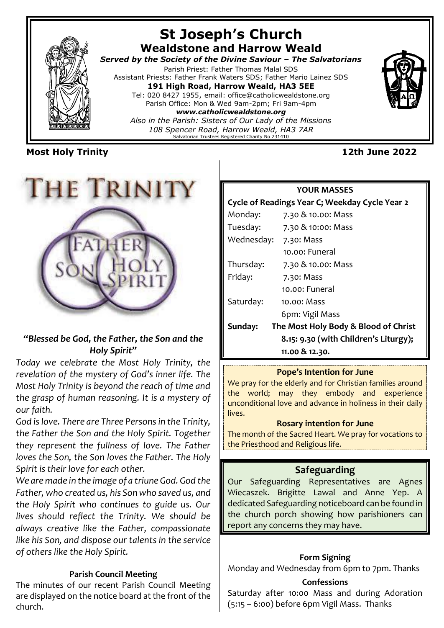

# **Most Holy Trinity 12th June 2022**



# *"Blessed be God, the Father, the Son and the Holy Spirit"*

*Today we celebrate the Most Holy Trinity, the revelation of the mystery of God's inner life. The Most Holy Trinity is beyond the reach of time and the grasp of human reasoning. It is a mystery of our faith.*

*God is love. There are Three Persons in the Trinity, the Father the Son and the Holy Spirit. Together they represent the fullness of love. The Father loves the Son, the Son loves the Father. The Holy Spirit is their love for each other.* 

*We are made in the image of a triune God. God the Father, who created us, his Son who saved us, and the Holy Spirit who continues to guide us. Our lives should reflect the Trinity. We should be always creative like the Father, compassionate like his Son, and dispose our talents in the service of others like the Holy Spirit.*

## **Parish Council Meeting**

The minutes of our recent Parish Council Meeting are displayed on the notice board at the front of the church.

### **YOUR MASSES**

### **Cycle of Readings Year C; Weekday Cycle Year 2**

| Monday:    | 7.30 & 10.00: Mass                    |
|------------|---------------------------------------|
| Tuesday:   | 7.30 & 10:00: Mass                    |
| Wednesday: | 7.30: Mass                            |
|            | 10.00: Funeral                        |
| Thursday:  | 7.30 & 10.00: Mass                    |
| Friday:    | 7.30: Mass                            |
|            | 10.00: Funeral                        |
| Saturday:  | 10.00: Mass                           |
|            | 6pm: Vigil Mass                       |
| Sunday:    | The Most Holy Body & Blood of Christ  |
|            | 8.15: 9.30 (with Children's Liturgy); |
|            | 11.00 & 12.30.                        |

## **Pope's Intention for June**

We pray for the elderly and for Christian families around the world; may they embody and experience unconditional love and advance in holiness in their daily lives.

### **Rosary intention for June**

The month of the Sacred Heart. We pray for vocations to the Priesthood and Religious life.

# **Safeguarding**

Our Safeguarding Representatives are Agnes Wiecaszek. Brigitte Lawal and Anne Yep. A dedicated Safeguarding noticeboard can be found in the church porch showing how parishioners can report any concerns they may have.

## **Form Signing**

Monday and Wednesday from 6pm to 7pm. Thanks

### **Confessions**

Saturday after 10:00 Mass and during Adoration (5:15 – 6:00) before 6pm Vigil Mass. Thanks